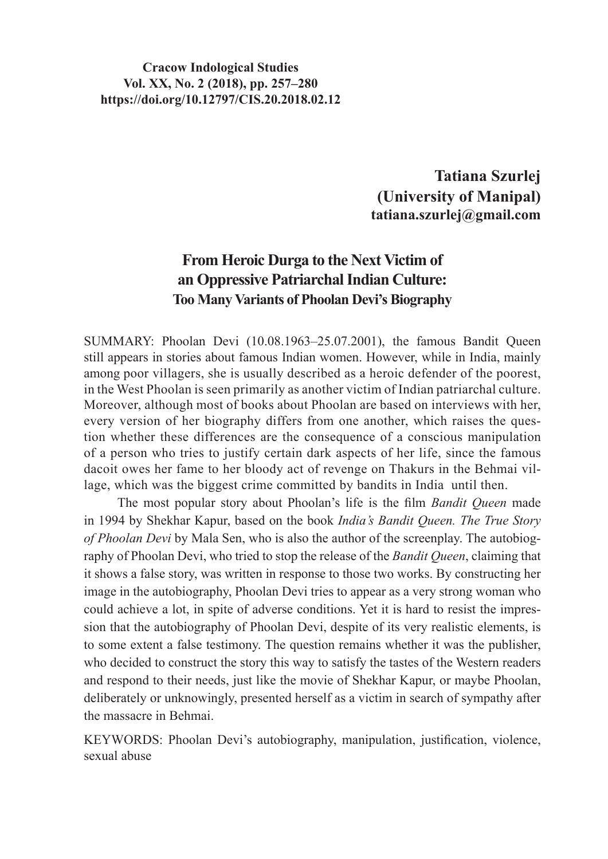## **Cracow Indological Studies Vol. XX, No. 2 (2018), pp. 257–280 https://doi.org/10.12797/CIS.20.2018.02.12**

**Tatiana Szurlej (University of Manipal) tatiana.szurlej@gmail.com**

## **From Heroic Durga to the Next Victim of an Oppressive Patriarchal Indian Culture: Too Many Variants of Phoolan Devi's Biography**

SUMMARY: Phoolan Devi (10.08.1963–25.07.2001), the famous Bandit Queen still appears in stories about famous Indian women. However, while in India, mainly among poor villagers, she is usually described as a heroic defender of the poorest, in the West Phoolan is seen primarily as another victim of Indian patriarchal culture. Moreover, although most of books about Phoolan are based on interviews with her, every version of her biography differs from one another, which raises the question whether these differences are the consequence of a conscious manipulation of a person who tries to justify certain dark aspects of her life, since the famous dacoit owes her fame to her bloody act of revenge on Thakurs in the Behmai village, which was the biggest crime committed by bandits in India until then.

The most popular story about Phoolan's life is the film *Bandit Queen* made in 1994 by Shekhar Kapur, based on the book *India's Bandit Queen. The True Story of Phoolan Devi* by Mala Sen, who is also the author of the screenplay. The autobiography of Phoolan Devi, who tried to stop the release of the *Bandit Queen*, claiming that it shows a false story, was written in response to those two works. By constructing her image in the autobiography, Phoolan Devi tries to appear as a very strong woman who could achieve a lot, in spite of adverse conditions. Yet it is hard to resist the impression that the autobiography of Phoolan Devi, despite of its very realistic elements, is to some extent a false testimony. The question remains whether it was the publisher, who decided to construct the story this way to satisfy the tastes of the Western readers and respond to their needs, just like the movie of Shekhar Kapur, or maybe Phoolan, deliberately or unknowingly, presented herself as a victim in search of sympathy after the massacre in Behmai.

KEYWORDS: Phoolan Devi's autobiography, manipulation, justification, violence, sexual abuse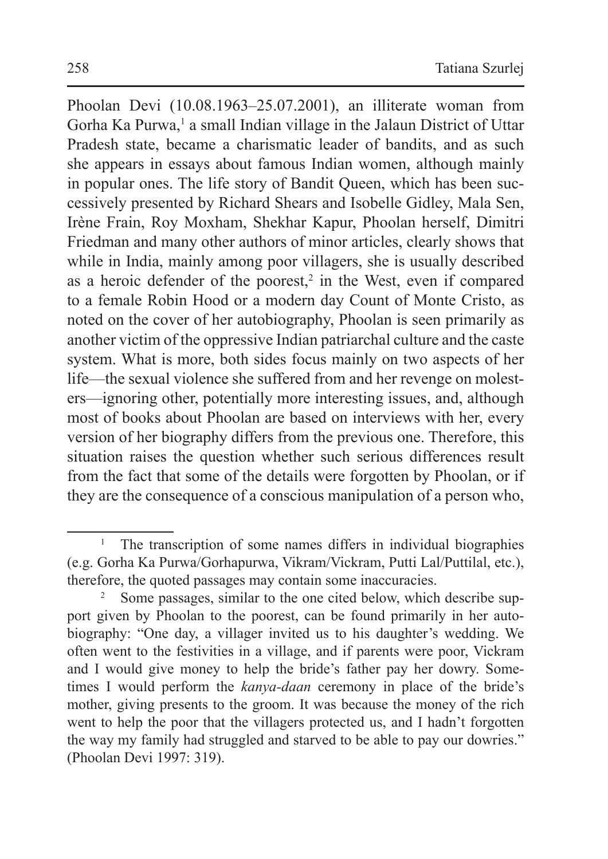Phoolan Devi (10.08.1963–25.07.2001), an illiterate woman from Gorha Ka Purwa,<sup>1</sup> a small Indian village in the Jalaun District of Uttar Pradesh state, became a charismatic leader of bandits, and as such she appears in essays about famous Indian women, although mainly in popular ones. The life story of Bandit Queen, which has been successively presented by Richard Shears and Isobelle Gidley, Mala Sen, Irène Frain, Roy Moxham, Shekhar Kapur, Phoolan herself, Dimitri Friedman and many other authors of minor articles, clearly shows that while in India, mainly among poor villagers, she is usually described as a heroic defender of the poorest, $2$  in the West, even if compared to a female Robin Hood or a modern day Count of Monte Cristo, as noted on the cover of her autobiography, Phoolan is seen primarily as another victim of the oppressive Indian patriarchal culture and the caste system. What is more, both sides focus mainly on two aspects of her life—the sexual violence she suffered from and her revenge on molesters—ignoring other, potentially more interesting issues, and, although most of books about Phoolan are based on interviews with her, every version of her biography differs from the previous one. Therefore, this situation raises the question whether such serious differences result from the fact that some of the details were forgotten by Phoolan, or if they are the consequence of a conscious manipulation of a person who,

<sup>1</sup> The transcription of some names differs in individual biographies (e.g. Gorha Ka Purwa/Gorhapurwa, Vikram/Vickram, Putti Lal/Puttilal, etc.), therefore, the quoted passages may contain some inaccuracies.

<sup>&</sup>lt;sup>2</sup> Some passages, similar to the one cited below, which describe support given by Phoolan to the poorest, can be found primarily in her autobiography: "One day, a villager invited us to his daughter's wedding. We often went to the festivities in a village, and if parents were poor, Vickram and I would give money to help the bride's father pay her dowry. Sometimes I would perform the *kanya-daan* ceremony in place of the bride's mother, giving presents to the groom. It was because the money of the rich went to help the poor that the villagers protected us, and I hadn't forgotten the way my family had struggled and starved to be able to pay our dowries." (Phoolan Devi 1997: 319).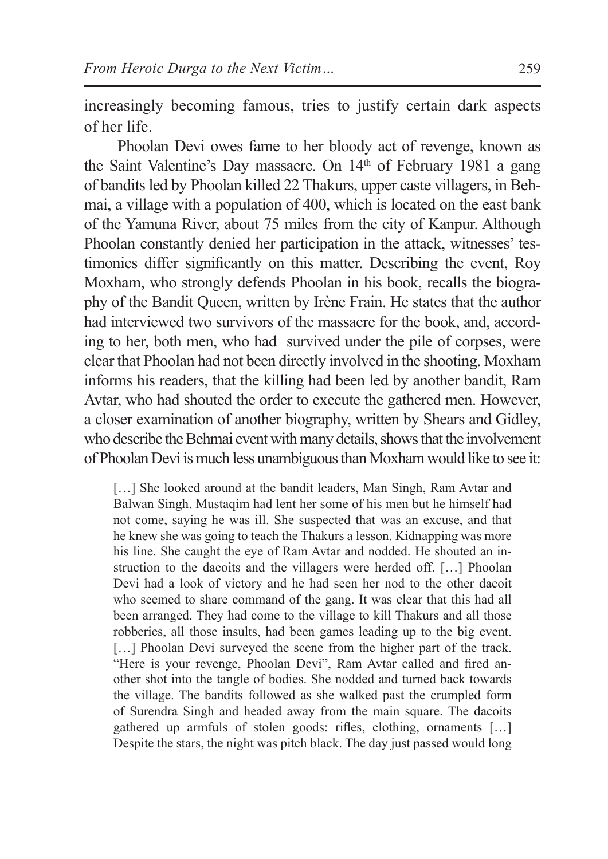increasingly becoming famous, tries to justify certain dark aspects of her life.

Phoolan Devi owes fame to her bloody act of revenge, known as the Saint Valentine's Day massacre. On 14<sup>th</sup> of February 1981 a gang of bandits led by Phoolan killed 22 Thakurs, upper caste villagers, in Behmai, a village with a population of 400, which is located on the east bank of the Yamuna River, about 75 miles from the city of Kanpur. Although Phoolan constantly denied her participation in the attack, witnesses' testimonies differ significantly on this matter. Describing the event, Roy Moxham, who strongly defends Phoolan in his book, recalls the biography of the Bandit Queen, written by Irène Frain. He states that the author had interviewed two survivors of the massacre for the book, and, according to her, both men, who had survived under the pile of corpses, were clear that Phoolan had not been directly involved in the shooting. Moxham informs his readers, that the killing had been led by another bandit, Ram Avtar, who had shouted the order to execute the gathered men. However, a closer examination of another biography, written by Shears and Gidley, who describe the Behmai event with many details, shows that the involvement of Phoolan Devi is much less unambiguous than Moxham would like to see it:

[...] She looked around at the bandit leaders, Man Singh, Ram Avtar and Balwan Singh. Mustaqim had lent her some of his men but he himself had not come, saying he was ill. She suspected that was an excuse, and that he knew she was going to teach the Thakurs a lesson. Kidnapping was more his line. She caught the eye of Ram Avtar and nodded. He shouted an instruction to the dacoits and the villagers were herded off. [...] Phoolan Devi had a look of victory and he had seen her nod to the other dacoit who seemed to share command of the gang. It was clear that this had all been arranged. They had come to the village to kill Thakurs and all those robberies, all those insults, had been games leading up to the big event. [...] Phoolan Devi surveyed the scene from the higher part of the track. "Here is your revenge, Phoolan Devi", Ram Avtar called and fired another shot into the tangle of bodies. She nodded and turned back towards the village. The bandits followed as she walked past the crumpled form of Surendra Singh and headed away from the main square. The dacoits gathered up armfuls of stolen goods: rifles, clothing, ornaments […] Despite the stars, the night was pitch black. The day just passed would long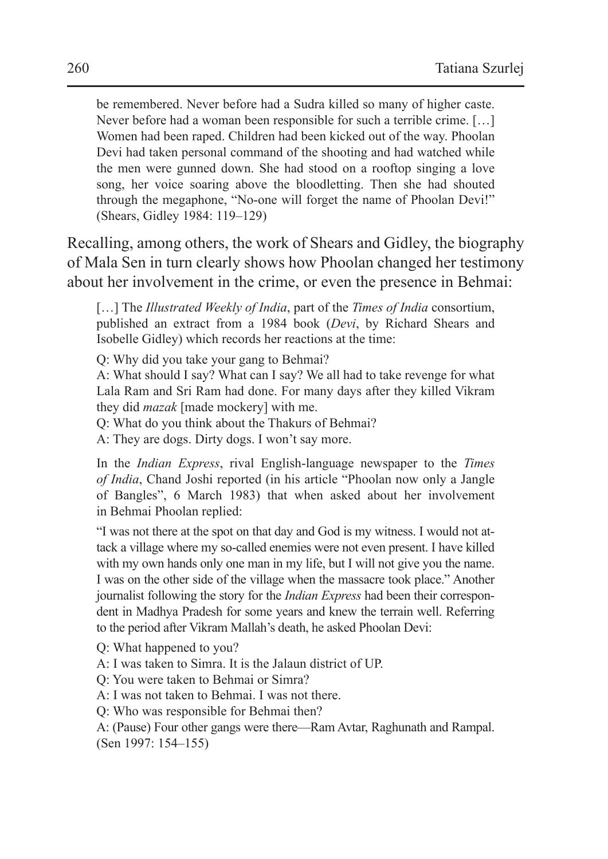be remembered. Never before had a Sudra killed so many of higher caste. Never before had a woman been responsible for such a terrible crime. […] Women had been raped. Children had been kicked out of the way. Phoolan Devi had taken personal command of the shooting and had watched while the men were gunned down. She had stood on a rooftop singing a love song, her voice soaring above the bloodletting. Then she had shouted through the megaphone, "No-one will forget the name of Phoolan Devi!" (Shears, Gidley 1984: 119–129)

Recalling, among others, the work of Shears and Gidley, the biography of Mala Sen in turn clearly shows how Phoolan changed her testimony about her involvement in the crime, or even the presence in Behmai:

[…] The *Illustrated Weekly of India*, part of the *Times of India* consortium, published an extract from a 1984 book (*Devi*, by Richard Shears and Isobelle Gidley) which records her reactions at the time:

Q: Why did you take your gang to Behmai?

A: What should I say? What can I say? We all had to take revenge for what Lala Ram and Sri Ram had done. For many days after they killed Vikram they did *mazak* [made mockery] with me.

Q: What do you think about the Thakurs of Behmai?

A: They are dogs. Dirty dogs. I won't say more.

In the *Indian Express*, rival English-language newspaper to the *Times of India*, Chand Joshi reported (in his article "Phoolan now only a Jangle of Bangles", 6 March 1983) that when asked about her involvement in Behmai Phoolan replied:

"I was not there at the spot on that day and God is my witness. I would not attack a village where my so-called enemies were not even present. I have killed with my own hands only one man in my life, but I will not give you the name. I was on the other side of the village when the massacre took place." Another journalist following the story for the *Indian Express* had been their correspondent in Madhya Pradesh for some years and knew the terrain well. Referring to the period after Vikram Mallah's death, he asked Phoolan Devi:

Q: What happened to you?

A: I was taken to Simra. It is the Jalaun district of UP.

Q: You were taken to Behmai or Simra?

A: I was not taken to Behmai. I was not there.

Q: Who was responsible for Behmai then?

A: (Pause) Four other gangs were there—Ram Avtar, Raghunath and Rampal.

(Sen 1997: 154–155)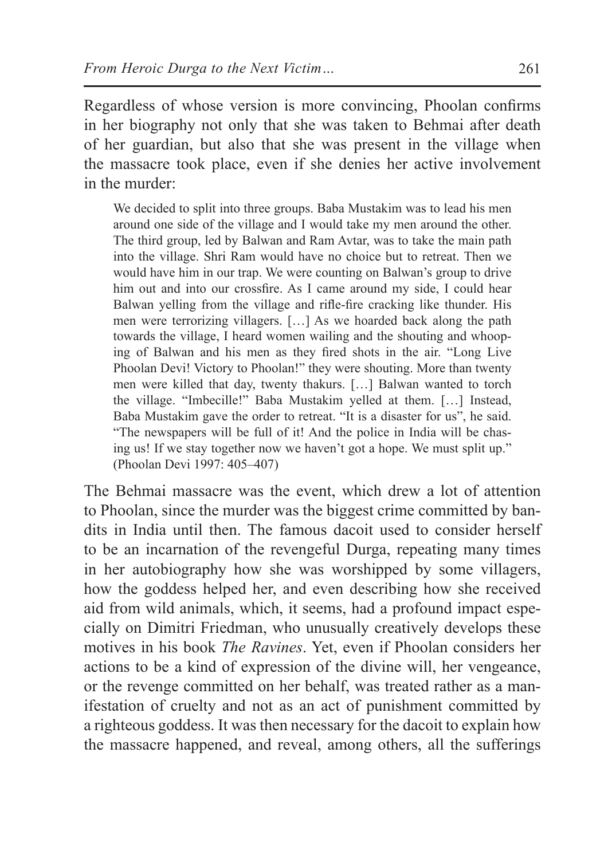Regardless of whose version is more convincing, Phoolan confirms in her biography not only that she was taken to Behmai after death of her guardian, but also that she was present in the village when the massacre took place, even if she denies her active involvement in the murder:

We decided to split into three groups. Baba Mustakim was to lead his men around one side of the village and I would take my men around the other. The third group, led by Balwan and Ram Avtar, was to take the main path into the village. Shri Ram would have no choice but to retreat. Then we would have him in our trap. We were counting on Balwan's group to drive him out and into our crossfire. As I came around my side, I could hear Balwan yelling from the village and rifle-fire cracking like thunder. His men were terrorizing villagers. […] As we hoarded back along the path towards the village, I heard women wailing and the shouting and whooping of Balwan and his men as they fired shots in the air. "Long Live Phoolan Devi! Victory to Phoolan!" they were shouting. More than twenty men were killed that day, twenty thakurs. […] Balwan wanted to torch the village. "Imbecille!" Baba Mustakim yelled at them. […] Instead, Baba Mustakim gave the order to retreat. "It is a disaster for us", he said. "The newspapers will be full of it! And the police in India will be chasing us! If we stay together now we haven't got a hope. We must split up." (Phoolan Devi 1997: 405–407)

The Behmai massacre was the event, which drew a lot of attention to Phoolan, since the murder was the biggest crime committed by bandits in India until then. The famous dacoit used to consider herself to be an incarnation of the revengeful Durga, repeating many times in her autobiography how she was worshipped by some villagers, how the goddess helped her, and even describing how she received aid from wild animals, which, it seems, had a profound impact especially on Dimitri Friedman, who unusually creatively develops these motives in his book *The Ravines*. Yet, even if Phoolan considers her actions to be a kind of expression of the divine will, her vengeance, or the revenge committed on her behalf, was treated rather as a manifestation of cruelty and not as an act of punishment committed by a righteous goddess. It was then necessary for the dacoit to explain how the massacre happened, and reveal, among others, all the sufferings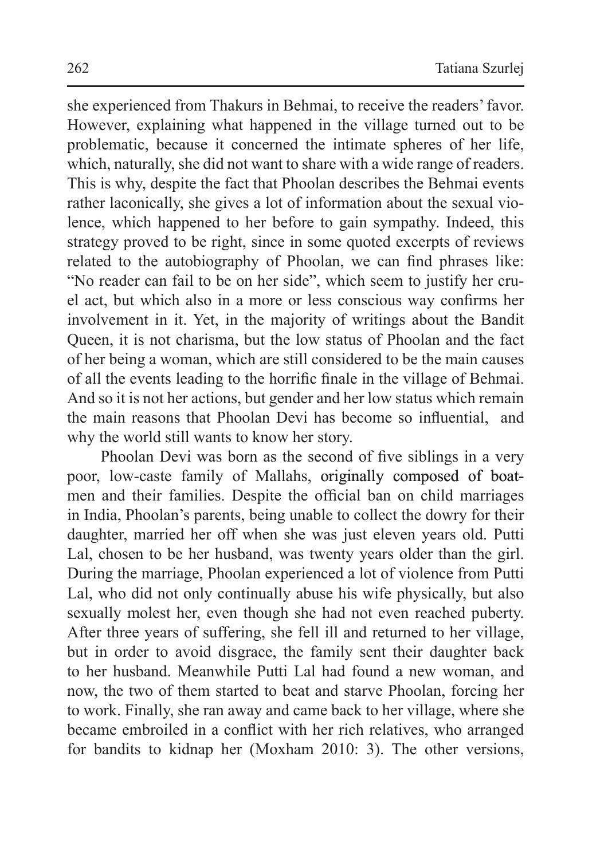she experienced from Thakurs in Behmai, to receive the readers'favor. However, explaining what happened in the village turned out to be problematic, because it concerned the intimate spheres of her life, which, naturally, she did not want to share with a wide range of readers. This is why, despite the fact that Phoolan describes the Behmai events rather laconically, she gives a lot of information about the sexual violence, which happened to her before to gain sympathy. Indeed, this strategy proved to be right, since in some quoted excerpts of reviews related to the autobiography of Phoolan, we can find phrases like: "No reader can fail to be on her side", which seem to justify her cruel act, but which also in a more or less conscious way confirms her involvement in it. Yet, in the majority of writings about the Bandit Queen, it is not charisma, but the low status of Phoolan and the fact of her being a woman, which are still considered to be the main causes of all the events leading to the horrific finale in the village of Behmai. And so it is not her actions, but gender and her low status which remain the main reasons that Phoolan Devi has become so influential, and why the world still wants to know her story.

Phoolan Devi was born as the second of five siblings in a very poor, low-caste family of Mallahs, originally composed of boatmen and their families. Despite the official ban on child marriages in India, Phoolan's parents, being unable to collect the dowry for their daughter, married her off when she was just eleven years old. Putti Lal, chosen to be her husband, was twenty years older than the girl. During the marriage, Phoolan experienced a lot of violence from Putti Lal, who did not only continually abuse his wife physically, but also sexually molest her, even though she had not even reached puberty. After three years of suffering, she fell ill and returned to her village, but in order to avoid disgrace, the family sent their daughter back to her husband. Meanwhile Putti Lal had found a new woman, and now, the two of them started to beat and starve Phoolan, forcing her to work. Finally, she ran away and came back to her village, where she became embroiled in a conflict with her rich relatives, who arranged for bandits to kidnap her (Moxham 2010: 3). The other versions,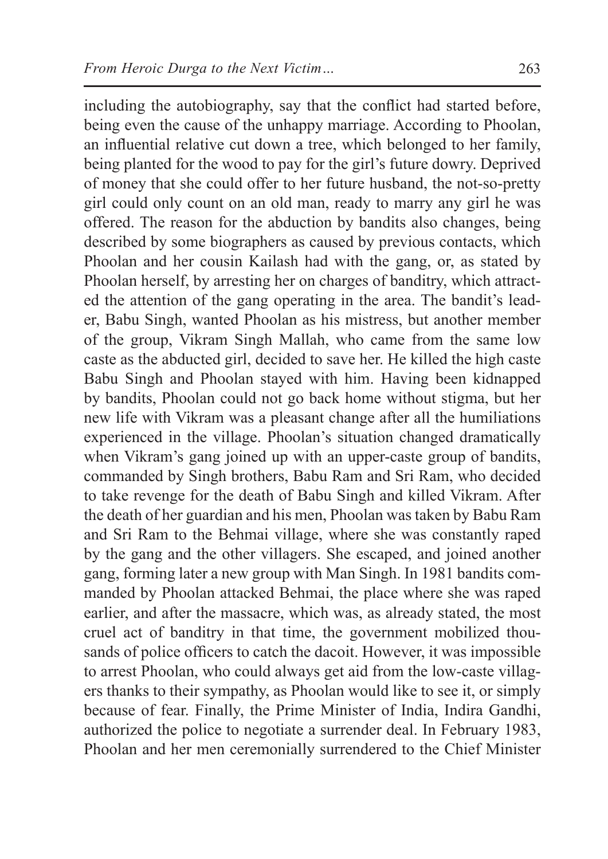including the autobiography, say that the conflict had started before, being even the cause of the unhappy marriage. According to Phoolan, an influential relative cut down a tree, which belonged to her family, being planted for the wood to pay for the girl's future dowry. Deprived of money that she could offer to her future husband, the not-so-pretty girl could only count on an old man, ready to marry any girl he was offered. The reason for the abduction by bandits also changes, being described by some biographers as caused by previous contacts, which Phoolan and her cousin Kailash had with the gang, or, as stated by Phoolan herself, by arresting her on charges of banditry, which attracted the attention of the gang operating in the area. The bandit's leader, Babu Singh, wanted Phoolan as his mistress, but another member of the group, Vikram Singh Mallah, who came from the same low caste as the abducted girl, decided to save her. He killed the high caste Babu Singh and Phoolan stayed with him. Having been kidnapped by bandits, Phoolan could not go back home without stigma, but her new life with Vikram was a pleasant change after all the humiliations experienced in the village. Phoolan's situation changed dramatically when Vikram's gang joined up with an upper-caste group of bandits, commanded by Singh brothers, Babu Ram and Sri Ram, who decided to take revenge for the death of Babu Singh and killed Vikram. After the death of her guardian and his men, Phoolan wastaken by Babu Ram and Sri Ram to the Behmai village, where she was constantly raped by the gang and the other villagers. She escaped, and joined another gang, forming later a new group with Man Singh. In 1981 bandits commanded by Phoolan attacked Behmai, the place where she was raped earlier, and after the massacre, which was, as already stated, the most cruel act of banditry in that time, the government mobilized thousands of police officers to catch the dacoit. However, it was impossible to arrest Phoolan, who could always get aid from the low-caste villagers thanks to their sympathy, as Phoolan would like to see it, or simply because of fear. Finally, the Prime Minister of India, Indira Gandhi, authorized the police to negotiate a surrender deal. In February 1983, Phoolan and her men ceremonially surrendered to the Chief Minister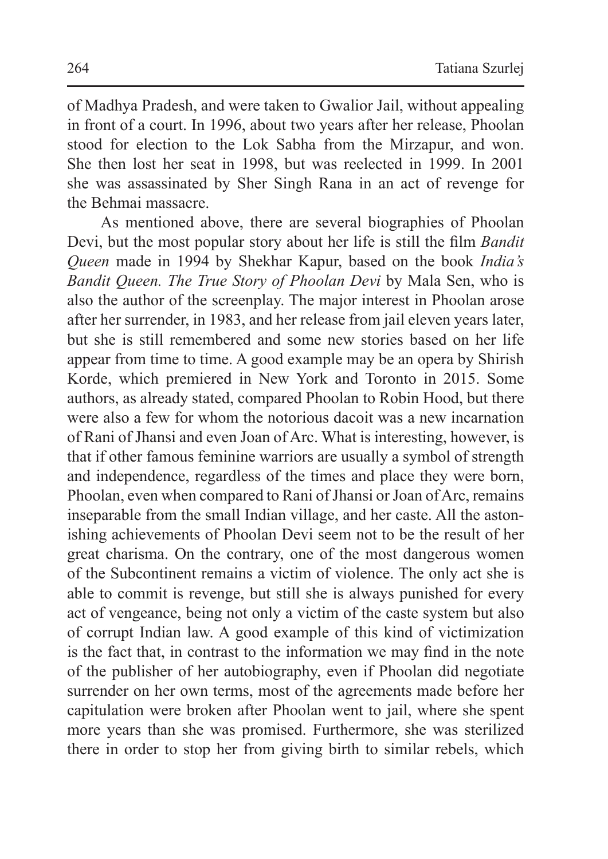of Madhya Pradesh, and were taken to Gwalior Jail, without appealing in front of a court. In 1996, about two years after her release, Phoolan stood for election to the Lok Sabha from the Mirzapur, and won. She then lost her seat in 1998, but was reelected in 1999. In 2001 she was assassinated by Sher Singh Rana in an act of revenge for the Behmai massacre.

As mentioned above, there are several biographies of Phoolan Devi, but the most popular story about her life is still the film *Bandit Queen* made in 1994 by Shekhar Kapur, based on the book *India's Bandit Queen. The True Story of Phoolan Devi* by Mala Sen, who is also the author of the screenplay. The major interest in Phoolan arose after her surrender, in 1983, and her release from jail eleven years later, but she is still remembered and some new stories based on her life appear from time to time. A good example may be an opera by Shirish Korde, which premiered in New York and Toronto in 2015. Some authors, as already stated, compared Phoolan to Robin Hood, but there were also a few for whom the notorious dacoit was a new incarnation of Rani of Jhansi and even Joan of Arc. What is interesting, however, is that if other famous feminine warriors are usually a symbol of strength and independence, regardless of the times and place they were born, Phoolan, even when compared to Rani of Jhansi or Joan of Arc, remains inseparable from the small Indian village, and her caste. All the astonishing achievements of Phoolan Devi seem not to be the result of her great charisma. On the contrary, one of the most dangerous women of the Subcontinent remains a victim of violence. The only act she is able to commit is revenge, but still she is always punished for every act of vengeance, being not only a victim of the caste system but also of corrupt Indian law. A good example of this kind of victimization is the fact that, in contrast to the information we may find in the note of the publisher of her autobiography, even if Phoolan did negotiate surrender on her own terms, most of the agreements made before her capitulation were broken after Phoolan went to jail, where she spent more years than she was promised. Furthermore, she was sterilized there in order to stop her from giving birth to similar rebels, which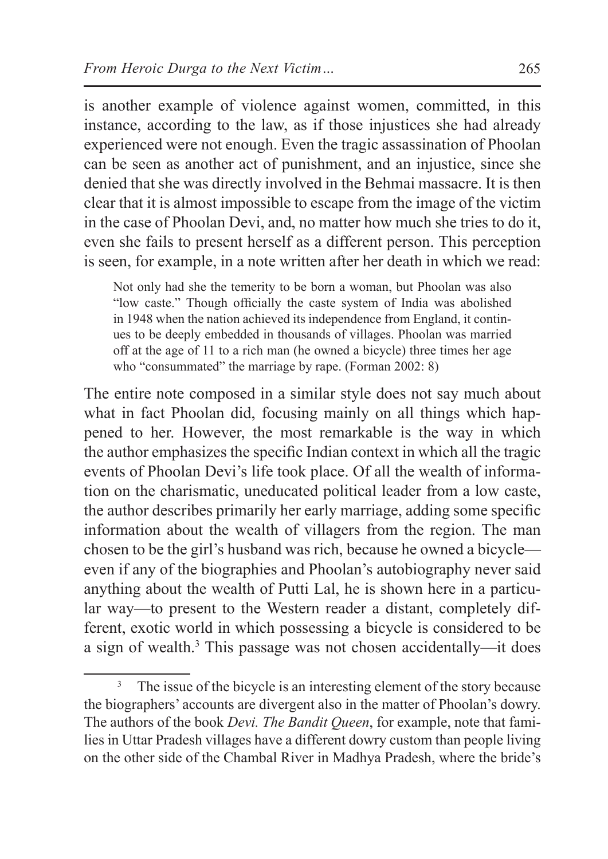is another example of violence against women, committed, in this instance, according to the law, as if those injustices she had already experienced were not enough. Even the tragic assassination of Phoolan can be seen as another act of punishment, and an injustice, since she denied that she was directly involved in the Behmai massacre. It is then clear that it is almost impossible to escape from the image of the victim in the case of Phoolan Devi, and, no matter how much she tries to do it, even she fails to present herself as a different person. This perception is seen, for example, in a note written after her death in which we read:

Not only had she the temerity to be born a woman, but Phoolan was also "low caste." Though officially the caste system of India was abolished in 1948 when the nation achieved its independence from England, it continues to be deeply embedded in thousands of villages. Phoolan was married off at the age of 11 to a rich man (he owned a bicycle) three times her age who "consummated" the marriage by rape. (Forman 2002: 8)

The entire note composed in a similar style does not say much about what in fact Phoolan did, focusing mainly on all things which happened to her. However, the most remarkable is the way in which the author emphasizes the specific Indian context in which all the tragic events of Phoolan Devi's life took place. Of all the wealth of information on the charismatic, uneducated political leader from a low caste, the author describes primarily her early marriage, adding some specific information about the wealth of villagers from the region. The man chosen to be the girl's husband was rich, because he owned a bicycle even if any of the biographies and Phoolan's autobiography never said anything about the wealth of Putti Lal, he is shown here in a particular way—to present to the Western reader a distant, completely different, exotic world in which possessing a bicycle is considered to be a sign of wealth.3 This passage was not chosen accidentally—it does

<sup>&</sup>lt;sup>3</sup> The issue of the bicycle is an interesting element of the story because the biographers' accounts are divergent also in the matter of Phoolan's dowry. The authors of the book *Devi. The Bandit Queen*, for example, note that families in Uttar Pradesh villages have a different dowry custom than people living on the other side of the Chambal River in Madhya Pradesh, where the bride's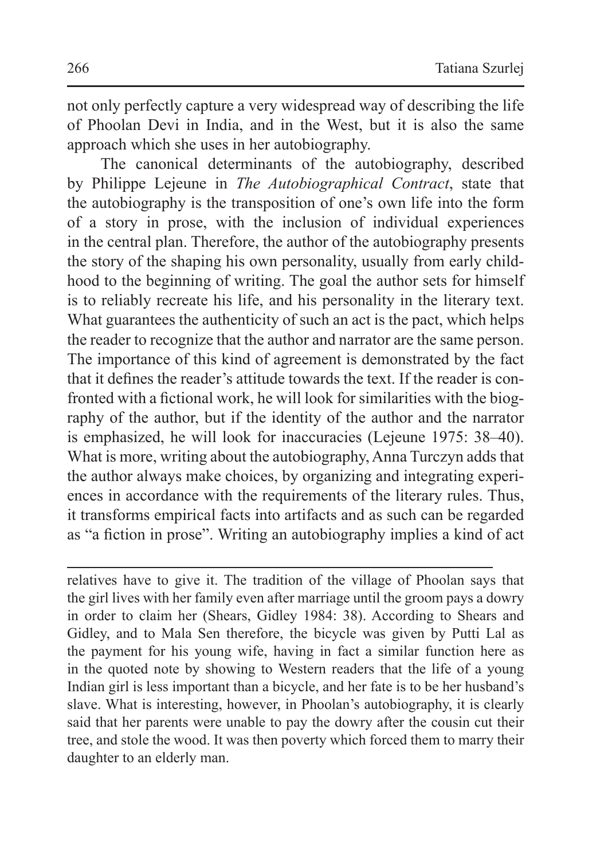not only perfectly capture a very widespread way of describing the life of Phoolan Devi in India, and in the West, but it is also the same approach which she uses in her autobiography.

The canonical determinants of the autobiography, described by Philippe Lejeune in *The Autobiographical Contract*, state that the autobiography is the transposition of one's own life into the form of a story in prose, with the inclusion of individual experiences in the central plan. Therefore, the author of the autobiography presents the story of the shaping his own personality, usually from early childhood to the beginning of writing. The goal the author sets for himself is to reliably recreate his life, and his personality in the literary text. What guarantees the authenticity of such an act is the pact, which helps the reader to recognize that the author and narrator are the same person. The importance of this kind of agreement is demonstrated by the fact that it defines the reader's attitude towards the text. If the reader is confronted with a fictional work, he will look for similarities with the biography of the author, but if the identity of the author and the narrator is emphasized, he will look for inaccuracies (Lejeune 1975: 38–40). What is more, writing about the autobiography, Anna Turczyn adds that the author always make choices, by organizing and integrating experiences in accordance with the requirements of the literary rules. Thus, it transforms empirical facts into artifacts and as such can be regarded as "a fiction in prose". Writing an autobiography implies a kind of act

relatives have to give it. The tradition of the village of Phoolan says that the girl lives with her family even after marriage until the groom pays a dowry in order to claim her (Shears, Gidley 1984: 38). According to Shears and Gidley, and to Mala Sen therefore, the bicycle was given by Putti Lal as the payment for his young wife, having in fact a similar function here as in the quoted note by showing to Western readers that the life of a young Indian girl is less important than a bicycle, and her fate is to be her husband's slave. What is interesting, however, in Phoolan's autobiography, it is clearly said that her parents were unable to pay the dowry after the cousin cut their tree, and stole the wood. It was then poverty which forced them to marry their daughter to an elderly man.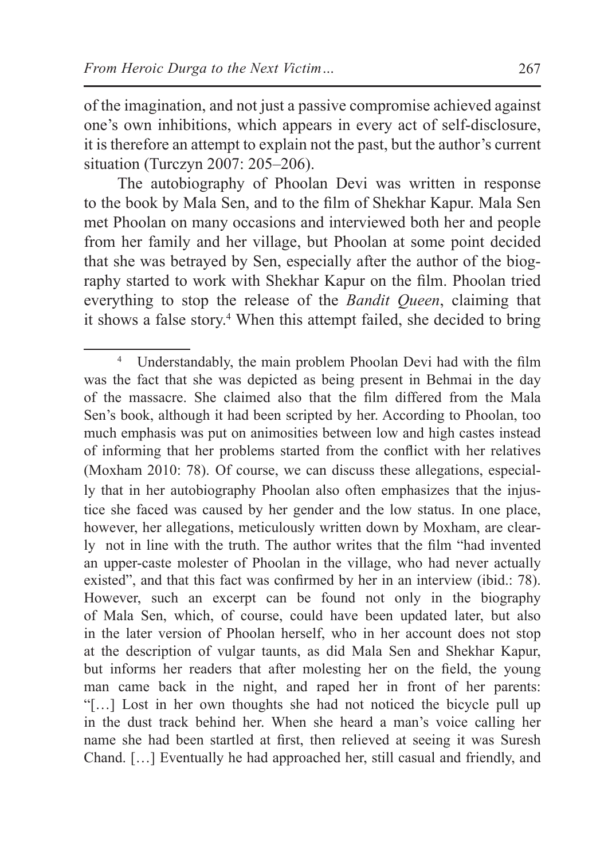of the imagination, and not just a passive compromise achieved against one's own inhibitions, which appears in every act of self-disclosure,

it is therefore an attempt to explain not the past, but the author's current situation (Turczyn 2007: 205–206).

The autobiography of Phoolan Devi was written in response to the book by Mala Sen, and to the film of Shekhar Kapur. Mala Sen met Phoolan on many occasions and interviewed both her and people from her family and her village, but Phoolan at some point decided that she was betrayed by Sen, especially after the author of the biography started to work with Shekhar Kapur on the film. Phoolan tried everything to stop the release of the *Bandit Queen*, claiming that it shows a false story.4 When this attempt failed, she decided to bring

<sup>4</sup> Understandably, the main problem Phoolan Devi had with the film was the fact that she was depicted as being present in Behmai in the day of the massacre. She claimed also that the film differed from the Mala Sen's book, although it had been scripted by her. According to Phoolan, too much emphasis was put on animosities between low and high castes instead of informing that her problems started from the conflict with her relatives (Moxham 2010: 78). Of course, we can discuss these allegations, especially that in her autobiography Phoolan also often emphasizes that the injustice she faced was caused by her gender and the low status. In one place, however, her allegations, meticulously written down by Moxham, are clearly not in line with the truth. The author writes that the film "had invented an upper-caste molester of Phoolan in the village, who had never actually existed", and that this fact was confirmed by her in an interview (ibid.: 78). However, such an excerpt can be found not only in the biography of Mala Sen, which, of course, could have been updated later, but also in the later version of Phoolan herself, who in her account does not stop at the description of vulgar taunts, as did Mala Sen and Shekhar Kapur, but informs her readers that after molesting her on the field, the young man came back in the night, and raped her in front of her parents: "[…] Lost in her own thoughts she had not noticed the bicycle pull up in the dust track behind her. When she heard a man's voice calling her name she had been startled at first, then relieved at seeing it was Suresh Chand. […] Eventually he had approached her, still casual and friendly, and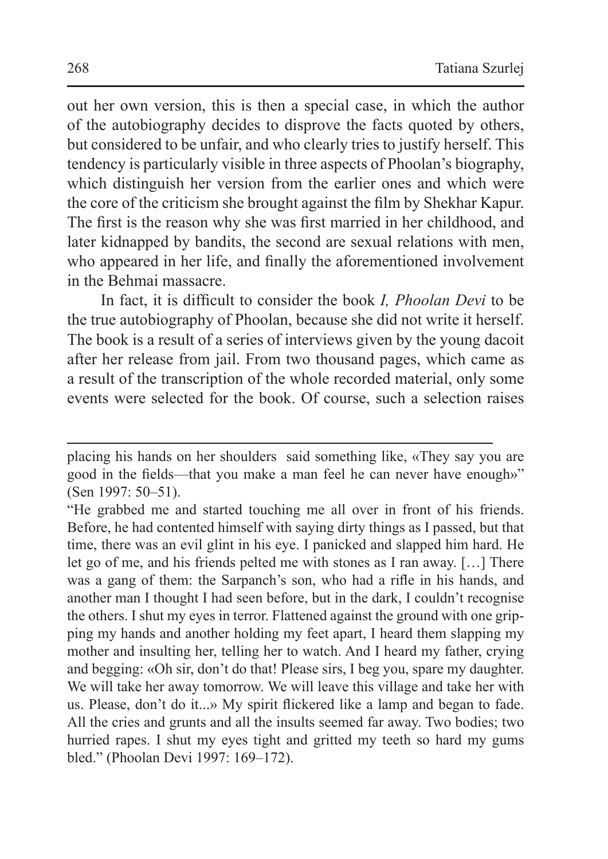out her own version, this is then a special case, in which the author of the autobiography decides to disprove the facts quoted by others, but considered to be unfair, and who clearly tries to justify herself. This tendency is particularly visible in three aspects of Phoolan's biography, which distinguish her version from the earlier ones and which were the core of the criticism she brought against the film by Shekhar Kapur. The first is the reason why she was first married in her childhood, and later kidnapped by bandits, the second are sexual relations with men, who appeared in her life, and finally the aforementioned involvement in the Behmai massacre.

In fact, it is difficult to consider the book *I, Phoolan Devi* to be the true autobiography of Phoolan, because she did not write it herself. The book is a result of a series of interviews given by the young dacoit after her release from jail. From two thousand pages, which came as a result of the transcription of the whole recorded material, only some events were selected for the book. Of course, such a selection raises

placing his hands on her shoulders said something like, «They say you are good in the fields—that you make a man feel he can never have enough»" (Sen 1997: 50–51).

<sup>&</sup>quot;He grabbed me and started touching me all over in front of his friends. Before, he had contented himself with saying dirty things as I passed, but that time, there was an evil glint in his eye. I panicked and slapped him hard. He let go of me, and his friends pelted me with stones as I ran away. […] There was a gang of them: the Sarpanch's son, who had a rifle in his hands, and another man I thought I had seen before, but in the dark, I couldn't recognise the others. I shut my eyes in terror. Flattened against the ground with one gripping my hands and another holding my feet apart, I heard them slapping my mother and insulting her, telling her to watch. And I heard my father, crying and begging: «Oh sir, don't do that! Please sirs, I beg you, spare my daughter. We will take her away tomorrow. We will leave this village and take her with us. Please, don't do it...» My spirit flickered like a lamp and began to fade. All the cries and grunts and all the insults seemed far away. Two bodies; two hurried rapes. I shut my eyes tight and gritted my teeth so hard my gums bled." (Phoolan Devi 1997: 169–172).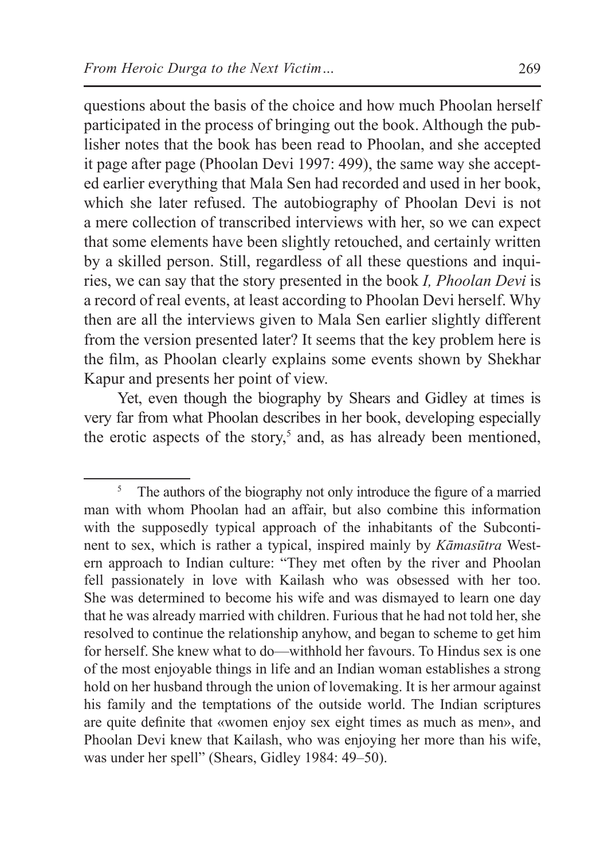questions about the basis of the choice and how much Phoolan herself participated in the process of bringing out the book. Although the publisher notes that the book has been read to Phoolan, and she accepted it page after page (Phoolan Devi 1997: 499), the same way she accepted earlier everything that Mala Sen had recorded and used in her book, which she later refused. The autobiography of Phoolan Devi is not a mere collection of transcribed interviews with her, so we can expect that some elements have been slightly retouched, and certainly written by a skilled person. Still, regardless of all these questions and inquiries, we can say that the story presented in the book *I, Phoolan Devi* is a record of real events, at least according to Phoolan Devi herself. Why then are all the interviews given to Mala Sen earlier slightly different from the version presented later? It seems that the key problem here is the film, as Phoolan clearly explains some events shown by Shekhar Kapur and presents her point of view.

Yet, even though the biography by Shears and Gidley at times is very far from what Phoolan describes in her book, developing especially the erotic aspects of the story,<sup>5</sup> and, as has already been mentioned,

<sup>&</sup>lt;sup>5</sup> The authors of the biography not only introduce the figure of a married man with whom Phoolan had an affair, but also combine this information with the supposedly typical approach of the inhabitants of the Subcontinent to sex, which is rather a typical, inspired mainly by *Kāmasūtra* Western approach to Indian culture: "They met often by the river and Phoolan fell passionately in love with Kailash who was obsessed with her too. She was determined to become his wife and was dismayed to learn one day that he was already married with children. Furious that he had not told her, she resolved to continue the relationship anyhow, and began to scheme to get him for herself. She knew what to do—withhold her favours. To Hindus sex is one of the most enjoyable things in life and an Indian woman establishes a strong hold on her husband through the union of lovemaking. It is her armour against his family and the temptations of the outside world. The Indian scriptures are quite definite that «women enjoy sex eight times as much as men», and Phoolan Devi knew that Kailash, who was enjoying her more than his wife, was under her spell" (Shears, Gidley 1984: 49–50).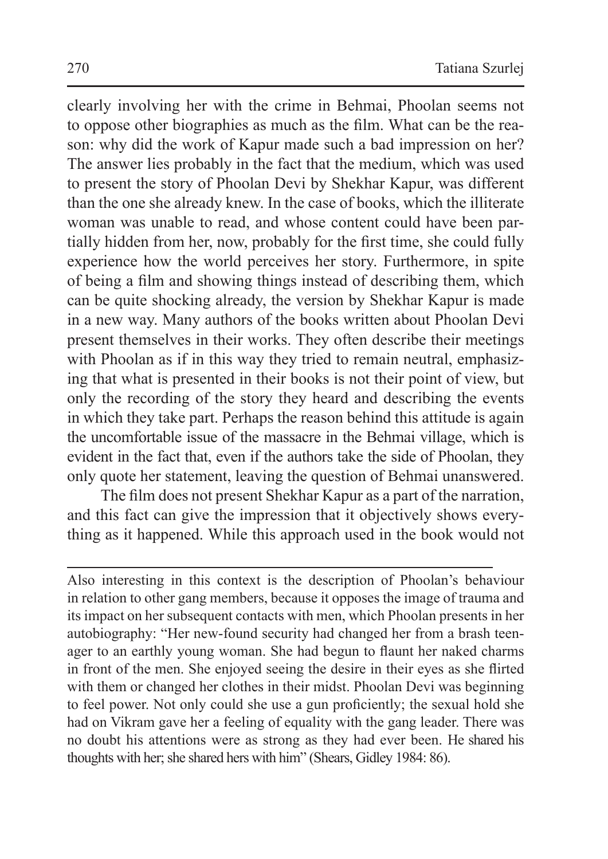clearly involving her with the crime in Behmai, Phoolan seems not to oppose other biographies as much as the film. What can be the reason: why did the work of Kapur made such a bad impression on her? The answer lies probably in the fact that the medium, which was used to present the story of Phoolan Devi by Shekhar Kapur, was different than the one she already knew. In the case of books, which the illiterate woman was unable to read, and whose content could have been partially hidden from her, now, probably for the first time, she could fully experience how the world perceives her story. Furthermore, in spite of being a film and showing things instead of describing them, which can be quite shocking already, the version by Shekhar Kapur is made in a new way. Many authors of the books written about Phoolan Devi present themselves in their works. They often describe their meetings with Phoolan as if in this way they tried to remain neutral, emphasizing that what is presented in their books is not their point of view, but only the recording of the story they heard and describing the events in which they take part. Perhaps the reason behind this attitude is again the uncomfortable issue of the massacre in the Behmai village, which is evident in the fact that, even if the authors take the side of Phoolan, they only quote her statement, leaving the question of Behmai unanswered.

The film does not present Shekhar Kapur as a part of the narration, and this fact can give the impression that it objectively shows everything as it happened. While this approach used in the book would not

Also interesting in this context is the description of Phoolan's behaviour in relation to other gang members, because it opposes the image of trauma and its impact on her subsequent contacts with men, which Phoolan presents in her autobiography: "Her new-found security had changed her from a brash teenager to an earthly young woman. She had begun to flaunt her naked charms in front of the men. She enjoyed seeing the desire in their eyes as she flirted with them or changed her clothes in their midst. Phoolan Devi was beginning to feel power. Not only could she use a gun proficiently; the sexual hold she had on Vikram gave her a feeling of equality with the gang leader. There was no doubt his attentions were as strong as they had ever been. He shared his thoughts with her; she shared hers with him" (Shears, Gidley 1984: 86).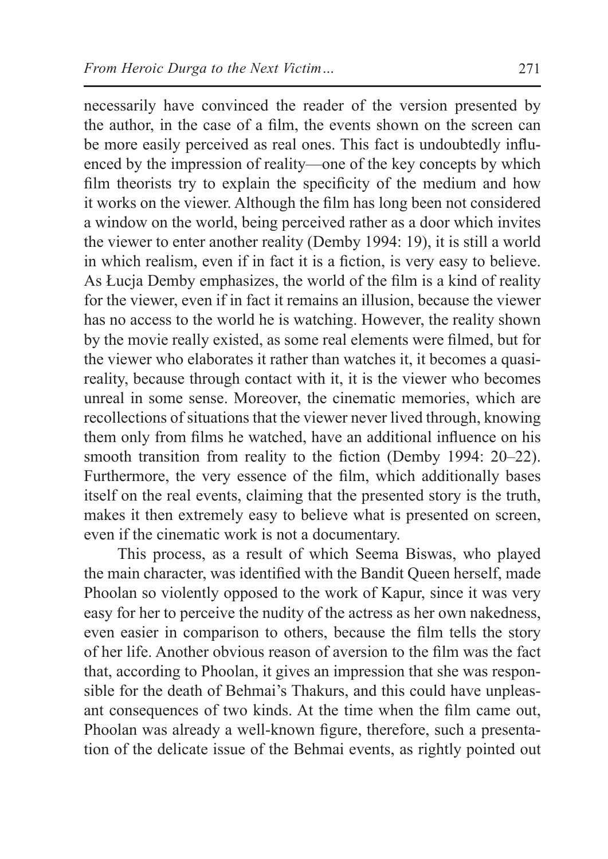necessarily have convinced the reader of the version presented by the author, in the case of a film, the events shown on the screen can be more easily perceived as real ones. This fact is undoubtedly influenced by the impression of reality—one of the key concepts by which film theorists try to explain the specificity of the medium and how it works on the viewer. Although the film has long been not considered a window on the world, being perceived rather as a door which invites the viewer to enter another reality (Demby 1994: 19), it is still a world in which realism, even if in fact it is a fiction, is very easy to believe. As Łucja Demby emphasizes, the world of the film is a kind of reality for the viewer, even if in fact it remains an illusion, because the viewer has no access to the world he is watching. However, the reality shown by the movie really existed, as some real elements were filmed, but for the viewer who elaborates it rather than watches it, it becomes a quasireality, because through contact with it, it is the viewer who becomes unreal in some sense. Moreover, the cinematic memories, which are recollections of situations that the viewer never lived through, knowing them only from films he watched, have an additional influence on his smooth transition from reality to the fiction (Demby 1994: 20–22). Furthermore, the very essence of the film, which additionally bases itself on the real events, claiming that the presented story is the truth, makes it then extremely easy to believe what is presented on screen, even if the cinematic work is not a documentary.

This process, as a result of which Seema Biswas, who played the main character, was identified with the Bandit Queen herself, made Phoolan so violently opposed to the work of Kapur, since it was very easy for her to perceive the nudity of the actress as her own nakedness, even easier in comparison to others, because the film tells the story of her life. Another obvious reason of aversion to the film was the fact that, according to Phoolan, it gives an impression that she was responsible for the death of Behmai's Thakurs, and this could have unpleasant consequences of two kinds. At the time when the film came out, Phoolan was already a well-known figure, therefore, such a presentation of the delicate issue of the Behmai events, as rightly pointed out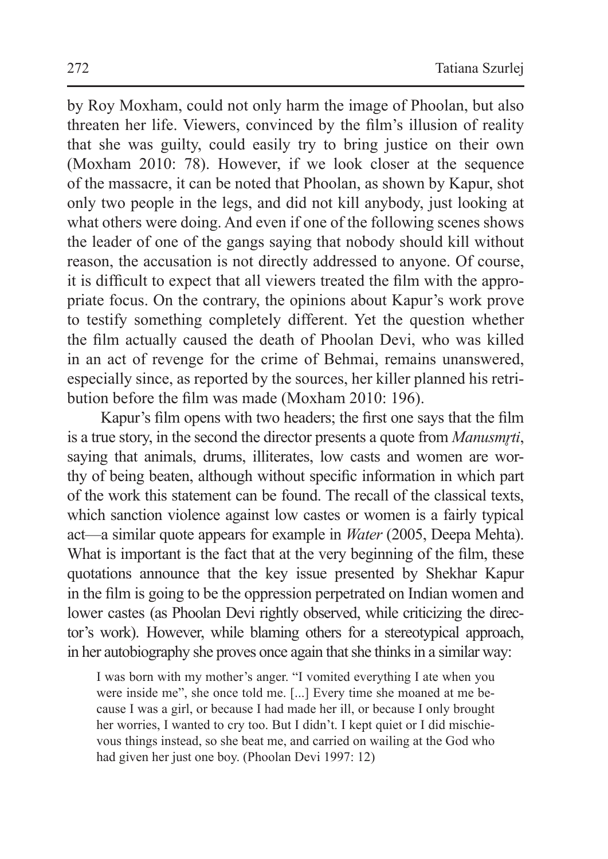by Roy Moxham, could not only harm the image of Phoolan, but also threaten her life. Viewers, convinced by the film's illusion of reality that she was guilty, could easily try to bring justice on their own (Moxham 2010: 78). However, if we look closer at the sequence of the massacre, it can be noted that Phoolan, as shown by Kapur, shot only two people in the legs, and did not kill anybody, just looking at what others were doing. And even if one of the following scenes shows the leader of one of the gangs saying that nobody should kill without reason, the accusation is not directly addressed to anyone. Of course, it is difficult to expect that all viewers treated the film with the appropriate focus. On the contrary, the opinions about Kapur's work prove to testify something completely different. Yet the question whether the film actually caused the death of Phoolan Devi, who was killed in an act of revenge for the crime of Behmai, remains unanswered, especially since, as reported by the sources, her killer planned his retribution before the film was made (Moxham 2010: 196).

Kapur's film opens with two headers; the first one says that the film is a true story, in the second the director presents a quote from *Manusmrti*, saying that animals, drums, illiterates, low casts and women are worthy of being beaten, although without specific information in which part of the work this statement can be found. The recall of the classical texts, which sanction violence against low castes or women is a fairly typical act—a similar quote appears for example in *Water* (2005, Deepa Mehta). What is important is the fact that at the very beginning of the film, these quotations announce that the key issue presented by Shekhar Kapur in the film is going to be the oppression perpetrated on Indian women and lower castes (as Phoolan Devi rightly observed, while criticizing the director's work). However, while blaming others for a stereotypical approach, in her autobiography she proves once again that she thinks in a similar way:

I was born with my mother's anger. "I vomited everything I ate when you were inside me", she once told me. [...] Every time she moaned at me because I was a girl, or because I had made her ill, or because I only brought her worries, I wanted to cry too. But I didn't. I kept quiet or I did mischievous things instead, so she beat me, and carried on wailing at the God who had given her just one boy. (Phoolan Devi 1997: 12)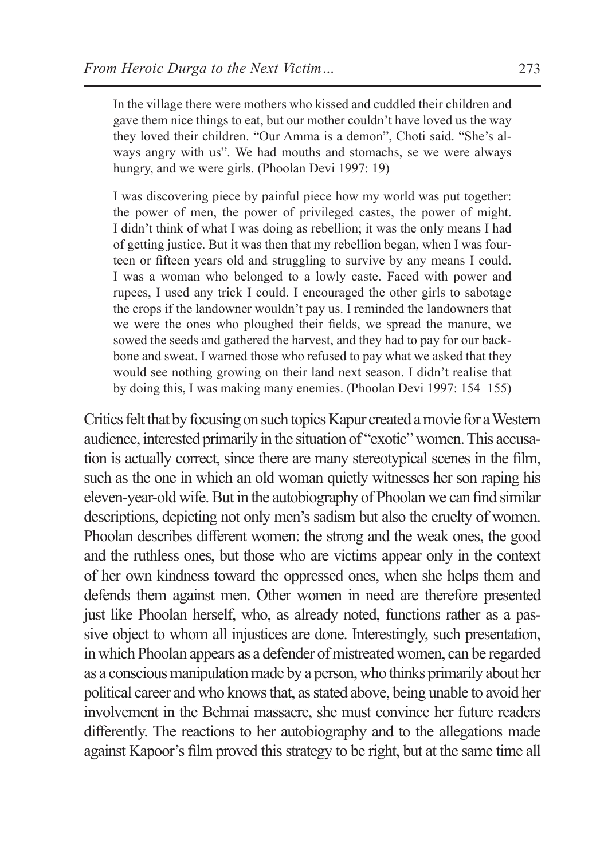In the village there were mothers who kissed and cuddled their children and gave them nice things to eat, but our mother couldn't have loved us the way they loved their children. "Our Amma is a demon", Choti said. "She's always angry with us". We had mouths and stomachs, se we were always hungry, and we were girls. (Phoolan Devi 1997: 19)

I was discovering piece by painful piece how my world was put together: the power of men, the power of privileged castes, the power of might. I didn't think of what I was doing as rebellion; it was the only means I had of getting justice. But it was then that my rebellion began, when I was fourteen or fifteen years old and struggling to survive by any means I could. I was a woman who belonged to a lowly caste. Faced with power and rupees, I used any trick I could. I encouraged the other girls to sabotage the crops if the landowner wouldn't pay us. I reminded the landowners that we were the ones who ploughed their fields, we spread the manure, we sowed the seeds and gathered the harvest, and they had to pay for our backbone and sweat. I warned those who refused to pay what we asked that they would see nothing growing on their land next season. I didn't realise that by doing this, I was making many enemies. (Phoolan Devi 1997: 154–155)

Critics felt that by focusing on such topics Kapur created a movie for a Western audience, interested primarily in the situation of "exotic" women. This accusation is actually correct, since there are many stereotypical scenes in the film, such as the one in which an old woman quietly witnesses her son raping his eleven-year-old wife.But in the autobiography of Phoolan we can find similar descriptions, depicting not only men's sadism but also the cruelty of women. Phoolan describes different women: the strong and the weak ones, the good and the ruthless ones, but those who are victims appear only in the context of her own kindness toward the oppressed ones, when she helps them and defends them against men. Other women in need are therefore presented just like Phoolan herself, who, as already noted, functions rather as a passive object to whom all injustices are done. Interestingly, such presentation, in which Phoolan appears as a defender of mistreated women, can be regarded as a conscious manipulation made by a person, who thinks primarily about her political career and who knows that, as stated above, being unable to avoid her involvement in the Behmai massacre, she must convince her future readers differently. The reactions to her autobiography and to the allegations made against Kapoor's film proved thisstrategy to be right, but at the same time all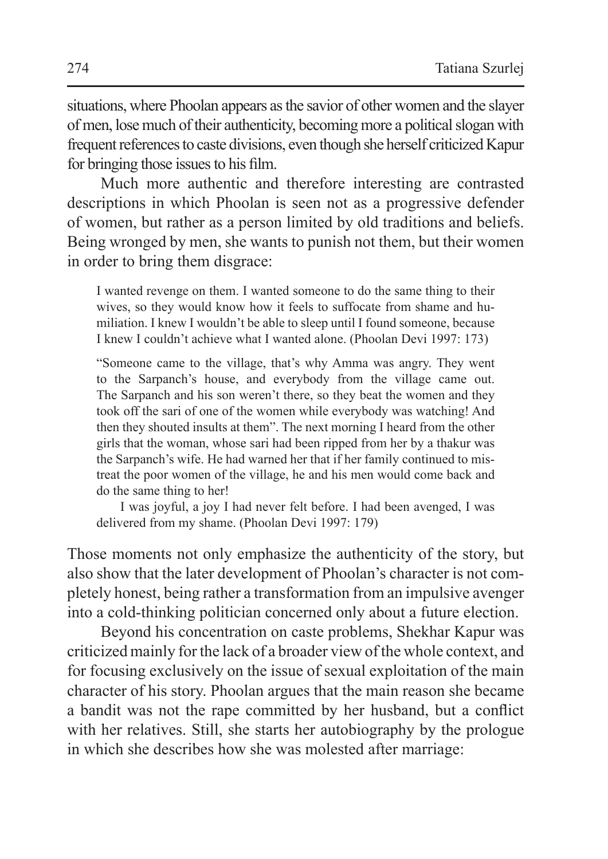situations, where Phoolan appears asthe savior of other women and the slayer of men, lose much of their authenticity, becoming more a politicalslogan with frequent references to caste divisions, even though she herself criticized Kapur for bringing those issues to his film.

Much more authentic and therefore interesting are contrasted descriptions in which Phoolan is seen not as a progressive defender of women, but rather as a person limited by old traditions and beliefs. Being wronged by men, she wants to punish not them, but their women in order to bring them disgrace:

I wanted revenge on them. I wanted someone to do the same thing to their wives, so they would know how it feels to suffocate from shame and humiliation. I knew I wouldn't be able to sleep until I found someone, because I knew I couldn't achieve what I wanted alone. (Phoolan Devi 1997: 173)

"Someone came to the village, that's why Amma was angry. They went to the Sarpanch's house, and everybody from the village came out. The Sarpanch and his son weren't there, so they beat the women and they took off the sari of one of the women while everybody was watching! And then they shouted insults at them". The next morning I heard from the other girls that the woman, whose sari had been ripped from her by a thakur was the Sarpanch's wife. He had warned her that if her family continued to mistreat the poor women of the village, he and his men would come back and do the same thing to her!

I was joyful, a joy I had never felt before. I had been avenged, I was delivered from my shame. (Phoolan Devi 1997: 179)

Those moments not only emphasize the authenticity of the story, but also show that the later development of Phoolan's character is not completely honest, being rather a transformation from an impulsive avenger into a cold-thinking politician concerned only about a future election.

Beyond his concentration on caste problems, Shekhar Kapur was criticized mainly forthe lack of a broader view of the whole context, and for focusing exclusively on the issue of sexual exploitation of the main character of his story. Phoolan argues that the main reason she became a bandit was not the rape committed by her husband, but a conflict with her relatives. Still, she starts her autobiography by the prologue in which she describes how she was molested after marriage: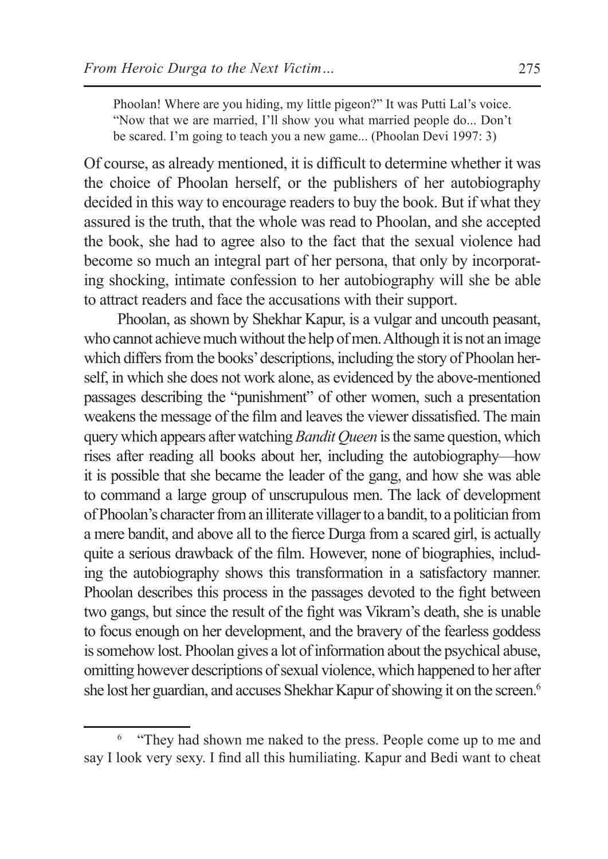Phoolan! Where are you hiding, my little pigeon?" It was Putti Lal's voice. "Now that we are married, I'll show you what married people do... Don't be scared. I'm going to teach you a new game... (Phoolan Devi 1997: 3)

Of course, as already mentioned, it is difficult to determine whether it was the choice of Phoolan herself, or the publishers of her autobiography decided in this way to encourage readers to buy the book. But if what they assured is the truth, that the whole was read to Phoolan, and she accepted the book, she had to agree also to the fact that the sexual violence had become so much an integral part of her persona, that only by incorporating shocking, intimate confession to her autobiography will she be able to attract readers and face the accusations with their support.

Phoolan, as shown by Shekhar Kapur, is a vulgar and uncouth peasant, who cannot achieve much without the help of men. Although it is not an image which differs from the books' descriptions, including the story of Phoolan herself, in which she does not work alone, as evidenced by the above-mentioned passages describing the "punishment" of other women, such a presentation weakens the message of the film and leaves the viewer dissatisfied. The main query which appears after watching*Bandit Queen* isthe same question, which rises after reading all books about her, including the autobiography—how it is possible that she became the leader of the gang, and how she was able to command a large group of unscrupulous men. The lack of development of Phoolan's character from an illiterate villager to a bandit, to a politician from a mere bandit, and above all to the fierce Durga from a scared girl, is actually quite a serious drawback of the film. However, none of biographies, including the autobiography shows this transformation in a satisfactory manner. Phoolan describes this process in the passages devoted to the fight between two gangs, but since the result of the fight was Vikram's death, she is unable to focus enough on her development, and the bravery of the fearless goddess issomehow lost. Phoolan gives a lot of information about the psychical abuse, omitting however descriptions of sexual violence, which happened to her after she lost her guardian, and accuses Shekhar Kapur of showing it on the screen.<sup>6</sup>

<sup>6</sup> "They had shown me naked to the press. People come up to me and say I look very sexy. I find all this humiliating. Kapur and Bedi want to cheat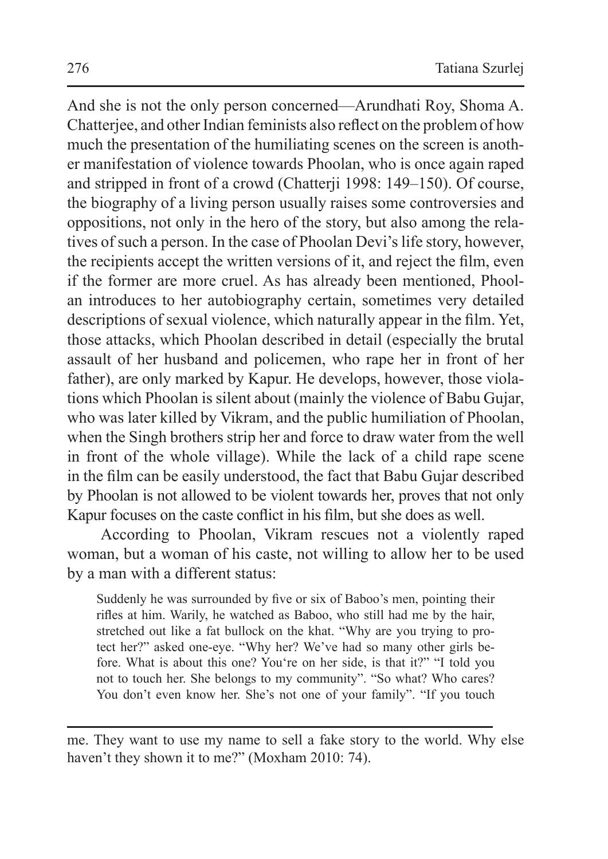And she is not the only person concerned—Arundhati Roy, Shoma A. Chatteriee, and other Indian feminists also reflect on the problem of how much the presentation of the humiliating scenes on the screen is another manifestation of violence towards Phoolan, who is once again raped and stripped in front of a crowd (Chatterji 1998: 149–150). Of course, the biography of a living person usually raises some controversies and oppositions, not only in the hero of the story, but also among the relatives of such a person. In the case of Phoolan Devi'slife story, however, the recipients accept the written versions of it, and reject the film, even if the former are more cruel. As has already been mentioned, Phoolan introduces to her autobiography certain, sometimes very detailed descriptions of sexual violence, which naturally appear in the film. Yet, those attacks, which Phoolan described in detail (especially the brutal assault of her husband and policemen, who rape her in front of her father), are only marked by Kapur. He develops, however, those violations which Phoolan is silent about (mainly the violence of Babu Gujar, who was later killed by Vikram, and the public humiliation of Phoolan, when the Singh brothers strip her and force to draw water from the well in front of the whole village). While the lack of a child rape scene in the film can be easily understood, the fact that Babu Gujar described by Phoolan is not allowed to be violent towards her, proves that not only Kapur focuses on the caste conflict in his film, but she does as well.

According to Phoolan, Vikram rescues not a violently raped woman, but a woman of his caste, not willing to allow her to be used by a man with a different status:

Suddenly he was surrounded by five or six of Baboo's men, pointing their rifles at him. Warily, he watched as Baboo, who still had me by the hair, stretched out like a fat bullock on the khat. "Why are you trying to protect her?" asked one-eye. "Why her? We've had so many other girls before. What is about this one? You're on her side, is that it?" "I told you not to touch her. She belongs to my community". "So what? Who cares? You don't even know her. She's not one of your family". "If you touch

me. They want to use my name to sell a fake story to the world. Why else haven't they shown it to me?" (Moxham 2010: 74).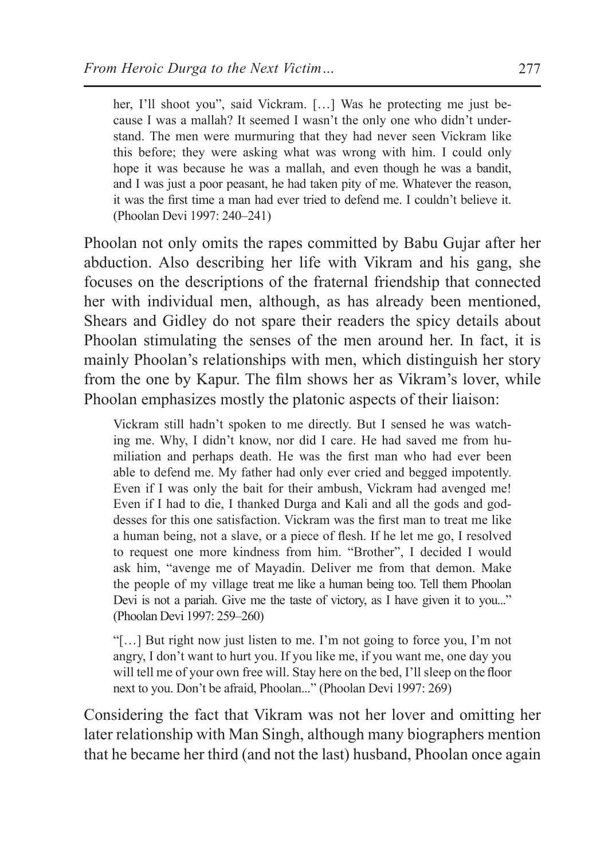her, I'll shoot you", said Vickram. […] Was he protecting me just because I was a mallah? It seemed I wasn't the only one who didn't understand. The men were murmuring that they had never seen Vickram like this before; they were asking what was wrong with him. I could only hope it was because he was a mallah, and even though he was a bandit, and I was just a poor peasant, he had taken pity of me. Whatever the reason, it was the first time a man had ever tried to defend me. I couldn't believe it. (Phoolan Devi 1997: 240–241)

Phoolan not only omits the rapes committed by Babu Gujar after her abduction. Also describing her life with Vikram and his gang, she focuses on the descriptions of the fraternal friendship that connected her with individual men, although, as has already been mentioned, Shears and Gidley do not spare their readers the spicy details about Phoolan stimulating the senses of the men around her. In fact, it is mainly Phoolan's relationships with men, which distinguish her story from the one by Kapur. The film shows her as Vikram's lover, while Phoolan emphasizes mostly the platonic aspects of their liaison:

Vickram still hadn't spoken to me directly. But I sensed he was watching me. Why, I didn't know, nor did I care. He had saved me from humiliation and perhaps death. He was the first man who had ever been able to defend me. My father had only ever cried and begged impotently. Even if I was only the bait for their ambush, Vickram had avenged me! Even if I had to die, I thanked Durga and Kali and all the gods and goddesses for this one satisfaction. Vickram was the first man to treat me like a human being, not a slave, or a piece of flesh. If he let me go, I resolved to request one more kindness from him. "Brother", I decided I would ask him, "avenge me of Mayadin. Deliver me from that demon. Make the people of my village treat me like a human being too. Tell them Phoolan Devi is not a pariah. Give me the taste of victory, as I have given it to you..." (Phoolan Devi 1997: 259–260)

"[…] But right now just listen to me. I'm not going to force you, I'm not angry, I don't want to hurt you. If you like me, if you want me, one day you will tell me of your own free will. Stay here on the bed, I'll sleep on the floor next to you. Don't be afraid, Phoolan..." (Phoolan Devi 1997: 269)

Considering the fact that Vikram was not her lover and omitting her later relationship with Man Singh, although many biographers mention that he became her third (and not the last) husband, Phoolan once again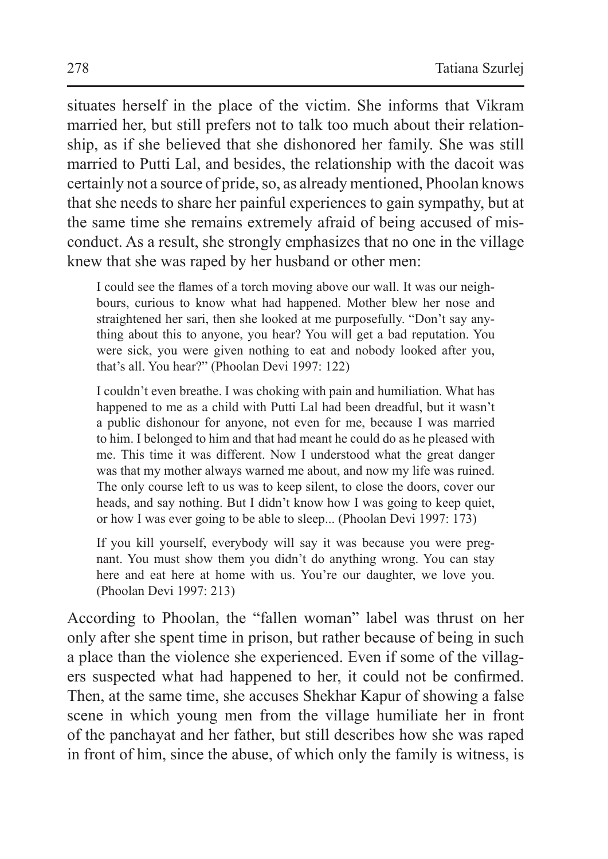situates herself in the place of the victim. She informs that Vikram married her, but still prefers not to talk too much about their relationship, as if she believed that she dishonored her family. She was still married to Putti Lal, and besides, the relationship with the dacoit was certainly not a source of pride, so, as already mentioned, Phoolan knows that she needs to share her painful experiences to gain sympathy, but at the same time she remains extremely afraid of being accused of misconduct. As a result, she strongly emphasizes that no one in the village knew that she was raped by her husband or other men:

I could see the flames of a torch moving above our wall. It was our neighbours, curious to know what had happened. Mother blew her nose and straightened her sari, then she looked at me purposefully. "Don't say anything about this to anyone, you hear? You will get a bad reputation. You were sick, you were given nothing to eat and nobody looked after you, that's all. You hear?" (Phoolan Devi 1997: 122)

I couldn't even breathe. I was choking with pain and humiliation. What has happened to me as a child with Putti Lal had been dreadful, but it wasn't a public dishonour for anyone, not even for me, because I was married to him. I belonged to him and that had meant he could do as he pleased with me. This time it was different. Now I understood what the great danger was that my mother always warned me about, and now my life was ruined. The only course left to us was to keep silent, to close the doors, cover our heads, and say nothing. But I didn't know how I was going to keep quiet. or how I was ever going to be able to sleep... (Phoolan Devi 1997: 173)

If you kill yourself, everybody will say it was because you were pregnant. You must show them you didn't do anything wrong. You can stay here and eat here at home with us. You're our daughter, we love you. (Phoolan Devi 1997: 213)

According to Phoolan, the "fallen woman" label was thrust on her only after she spent time in prison, but rather because of being in such a place than the violence she experienced. Even if some of the villagers suspected what had happened to her, it could not be confirmed. Then, at the same time, she accuses Shekhar Kapur of showing a false scene in which young men from the village humiliate her in front of the panchayat and her father, but still describes how she was raped in front of him, since the abuse, of which only the family is witness, is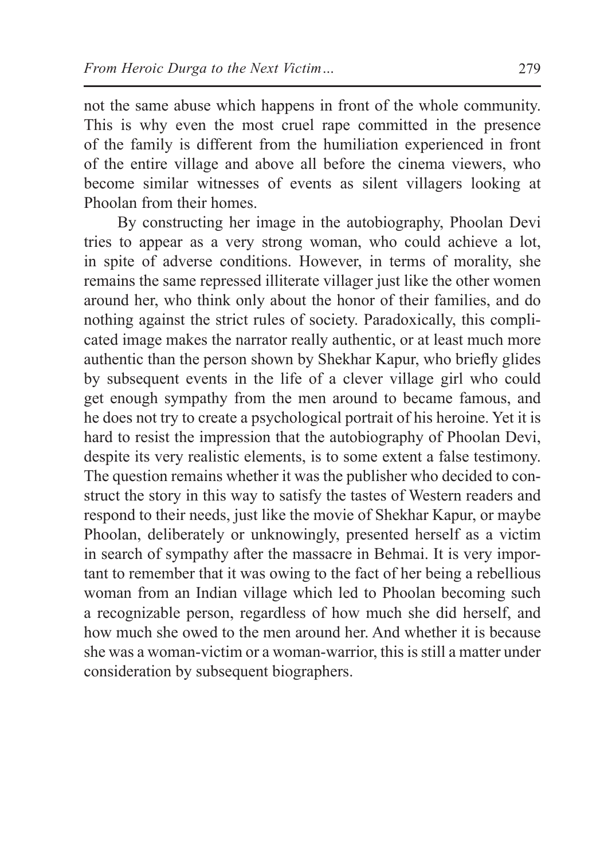not the same abuse which happens in front of the whole community. This is why even the most cruel rape committed in the presence of the family is different from the humiliation experienced in front of the entire village and above all before the cinema viewers, who become similar witnesses of events as silent villagers looking at Phoolan from their homes.

By constructing her image in the autobiography, Phoolan Devi tries to appear as a very strong woman, who could achieve a lot, in spite of adverse conditions. However, in terms of morality, she remains the same repressed illiterate villager just like the other women around her, who think only about the honor of their families, and do nothing against the strict rules of society. Paradoxically, this complicated image makes the narrator really authentic, or at least much more authentic than the person shown by Shekhar Kapur, who briefly glides by subsequent events in the life of a clever village girl who could get enough sympathy from the men around to became famous, and he does not try to create a psychological portrait of his heroine. Yet it is hard to resist the impression that the autobiography of Phoolan Devi, despite its very realistic elements, is to some extent a false testimony. The question remains whether it was the publisher who decided to construct the story in this way to satisfy the tastes of Western readers and respond to their needs, just like the movie of Shekhar Kapur, or maybe Phoolan, deliberately or unknowingly, presented herself as a victim in search of sympathy after the massacre in Behmai. It is very important to remember that it was owing to the fact of her being a rebellious woman from an Indian village which led to Phoolan becoming such a recognizable person, regardless of how much she did herself, and how much she owed to the men around her. And whether it is because she was a woman-victim or a woman-warrior, this is still a matter under consideration by subsequent biographers.